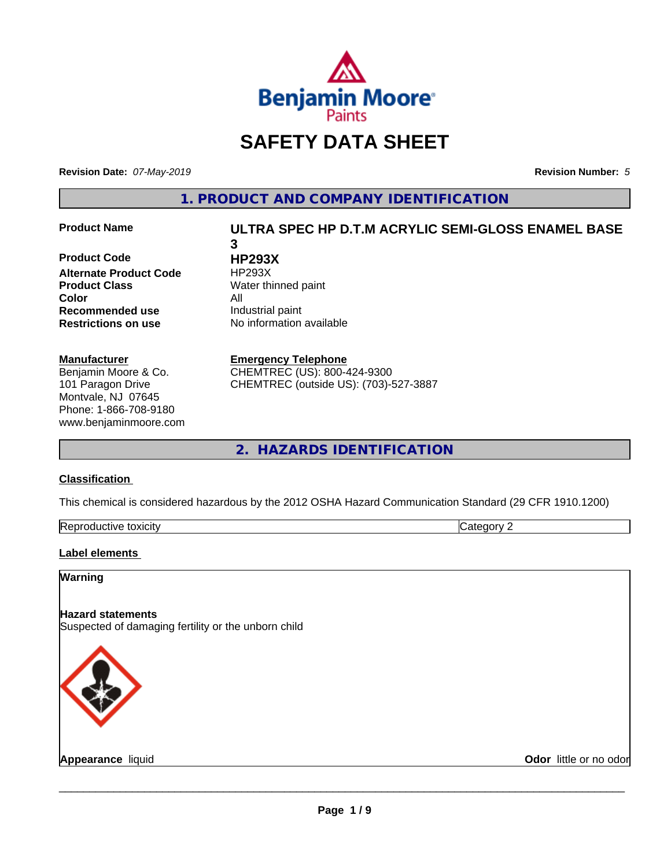

# **SAFETY DATA SHEET**

**Revision Date:** *07-May-2019* **Revision Number:** *5*

**1. PRODUCT AND COMPANY IDENTIFICATION**

**Product Code HP293X Alternate Product Code** HP293X **Product Class** Water thinned paint **Color** All **Recommended use** Industrial paint **Restrictions on use** No information available

#### **Manufacturer**

Benjamin Moore & Co. 101 Paragon Drive Montvale, NJ 07645 Phone: 1-866-708-9180 www.benjaminmoore.com

# **Product Name ULTRA SPEC HP D.T.M ACRYLIC SEMI-GLOSS ENAMEL BASE 3**

**Emergency Telephone**

CHEMTREC (US): 800-424-9300 CHEMTREC (outside US): (703)-527-3887

**2. HAZARDS IDENTIFICATION**

#### **Classification**

This chemical is considered hazardous by the 2012 OSHA Hazard Communication Standard (29 CFR 1910.1200)

| toxicity<br>Repr.<br>oductive | ĸ<br>- - -<br>.ат<br>ιr<br>7. J. |
|-------------------------------|----------------------------------|

#### **Label elements**

# **Warning**

**Hazard statements** Suspected of damaging fertility or the unborn child



**Appearance** liquid **Contract Contract Contract Contract Contract Contract Contract Contract Contract Contract Contract Contract Contract Contract Contract Contract Contract Contract Contract Contract Contract Contract Con**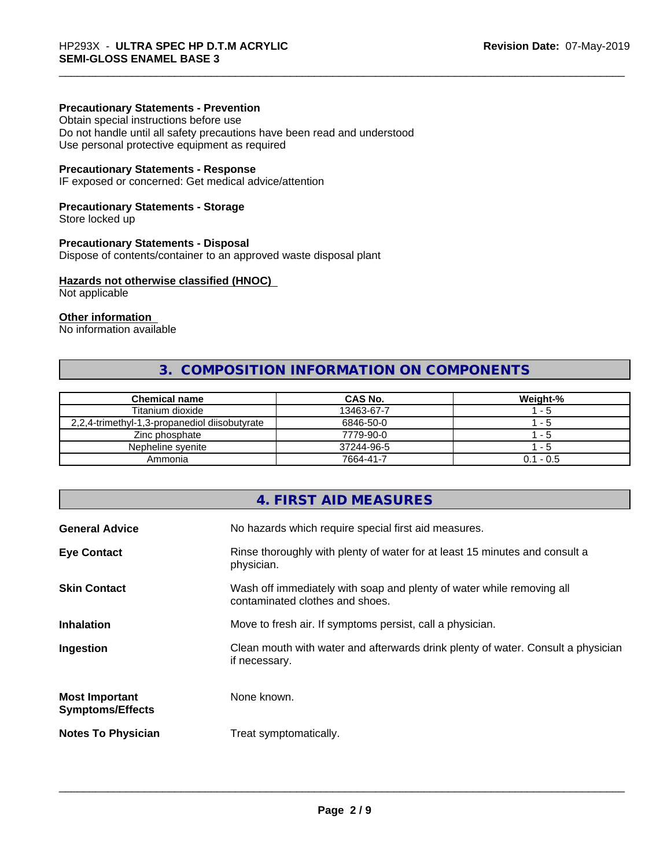### **Precautionary Statements - Prevention**

Obtain special instructions before use Do not handle until all safety precautions have been read and understood Use personal protective equipment as required

#### **Precautionary Statements - Response**

IF exposed or concerned: Get medical advice/attention

### **Precautionary Statements - Storage**

Store locked up

#### **Precautionary Statements - Disposal**

Dispose of contents/container to an approved waste disposal plant

#### **Hazards not otherwise classified (HNOC)**

Not applicable

# **Other information**

No information available

# **3. COMPOSITION INFORMATION ON COMPONENTS**

| <b>Chemical name</b>                          | CAS No.    | Weight-%    |
|-----------------------------------------------|------------|-------------|
| Titanium dioxide                              | 13463-67-7 | - 5         |
| 2,2,4-trimethyl-1,3-propanediol diisobutyrate | 6846-50-0  | - 5         |
| Zinc phosphate                                | 7779-90-0  | - 5         |
| Nepheline svenite                             | 37244-96-5 | - 5         |
| Ammonia                                       | 7664-41-7  | $0.1 - 0.5$ |

# **4. FIRST AID MEASURES**

| Rinse thoroughly with plenty of water for at least 15 minutes and consult a<br>physician.<br>Wash off immediately with soap and plenty of water while removing all<br>contaminated clothes and shoes.<br>Move to fresh air. If symptoms persist, call a physician.<br>Clean mouth with water and afterwards drink plenty of water. Consult a physician<br>if necessary.<br>None known.<br>Treat symptomatically. | <b>General Advice</b>                            | No hazards which require special first aid measures. |
|------------------------------------------------------------------------------------------------------------------------------------------------------------------------------------------------------------------------------------------------------------------------------------------------------------------------------------------------------------------------------------------------------------------|--------------------------------------------------|------------------------------------------------------|
|                                                                                                                                                                                                                                                                                                                                                                                                                  | <b>Eye Contact</b>                               |                                                      |
|                                                                                                                                                                                                                                                                                                                                                                                                                  | <b>Skin Contact</b>                              |                                                      |
|                                                                                                                                                                                                                                                                                                                                                                                                                  | <b>Inhalation</b>                                |                                                      |
|                                                                                                                                                                                                                                                                                                                                                                                                                  | Ingestion                                        |                                                      |
|                                                                                                                                                                                                                                                                                                                                                                                                                  | <b>Most Important</b><br><b>Symptoms/Effects</b> |                                                      |
|                                                                                                                                                                                                                                                                                                                                                                                                                  | <b>Notes To Physician</b>                        |                                                      |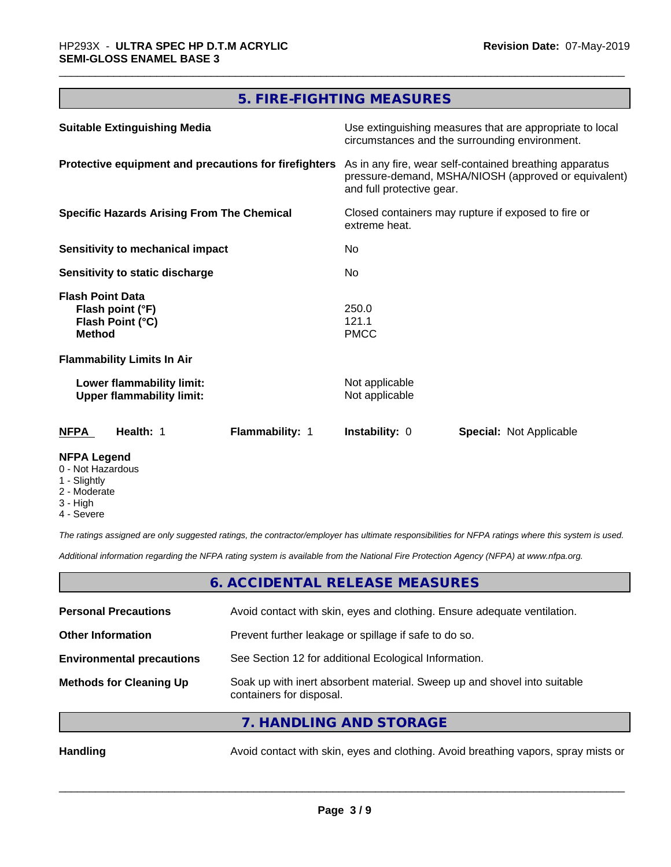# **5. FIRE-FIGHTING MEASURES**

| <b>Suitable Extinguishing Media</b>                                              | Use extinguishing measures that are appropriate to local<br>circumstances and the surrounding environment.                                                                                                                  |  |
|----------------------------------------------------------------------------------|-----------------------------------------------------------------------------------------------------------------------------------------------------------------------------------------------------------------------------|--|
| Protective equipment and precautions for firefighters                            | As in any fire, wear self-contained breathing apparatus<br>pressure-demand, MSHA/NIOSH (approved or equivalent)<br>and full protective gear.<br>Closed containers may rupture if exposed to fire or<br>extreme heat.<br>No. |  |
| <b>Specific Hazards Arising From The Chemical</b>                                |                                                                                                                                                                                                                             |  |
| Sensitivity to mechanical impact                                                 |                                                                                                                                                                                                                             |  |
| Sensitivity to static discharge                                                  | No.                                                                                                                                                                                                                         |  |
| <b>Flash Point Data</b><br>Flash point (°F)<br>Flash Point (°C)<br><b>Method</b> | 250.0<br>121.1<br><b>PMCC</b>                                                                                                                                                                                               |  |
| <b>Flammability Limits In Air</b>                                                |                                                                                                                                                                                                                             |  |
| Lower flammability limit:<br><b>Upper flammability limit:</b>                    | Not applicable<br>Not applicable                                                                                                                                                                                            |  |
| <b>NFPA</b><br>Health: 1<br>Flammability: 1                                      | <b>Instability: 0</b><br><b>Special: Not Applicable</b>                                                                                                                                                                     |  |
| <b>NFPA Legend</b>                                                               |                                                                                                                                                                                                                             |  |

- 0 Not Hazardous
- 1 Slightly
- 2 Moderate
- 3 High
- 4 Severe

*The ratings assigned are only suggested ratings, the contractor/employer has ultimate responsibilities for NFPA ratings where this system is used.*

*Additional information regarding the NFPA rating system is available from the National Fire Protection Agency (NFPA) at www.nfpa.org.*

# **6. ACCIDENTAL RELEASE MEASURES**

| <b>Personal Precautions</b>      | Avoid contact with skin, eyes and clothing. Ensure adequate ventilation.                             |
|----------------------------------|------------------------------------------------------------------------------------------------------|
| <b>Other Information</b>         | Prevent further leakage or spillage if safe to do so.                                                |
| <b>Environmental precautions</b> | See Section 12 for additional Ecological Information.                                                |
| <b>Methods for Cleaning Up</b>   | Soak up with inert absorbent material. Sweep up and shovel into suitable<br>containers for disposal. |
|                                  | $\overline{11111101110111010707001000}$                                                              |

**7. HANDLING AND STORAGE**

Handling **Handling** Avoid contact with skin, eyes and clothing. Avoid breathing vapors, spray mists or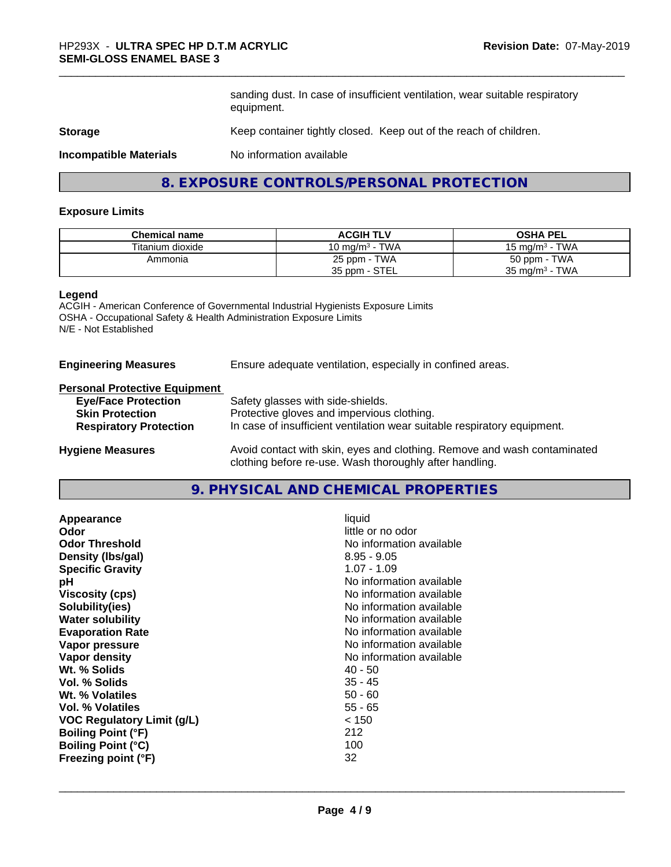sanding dust. In case of insufficient ventilation, wear suitable respiratory equipment.

#### **Storage** Keep container tightly closed. Keep out of the reach of children.

**Incompatible Materials** No information available

# **8. EXPOSURE CONTROLS/PERSONAL PROTECTION**

#### **Exposure Limits**

| <b>Chemical name</b> | <b>ACGIH TLV</b>  | <b>OSHA PEL</b>           |
|----------------------|-------------------|---------------------------|
| Titanium dioxide     | 10 mg/m $3$ - TWA | 15 mg/m $3$ - TWA         |
| Ammonia              | 25 ppm - TWA      | 50 ppm - TWA              |
|                      | 35 ppm - STEL     | $35 \text{ mg/m}^3$ - TWA |

#### **Legend**

ACGIH - American Conference of Governmental Industrial Hygienists Exposure Limits OSHA - Occupational Safety & Health Administration Exposure Limits N/E - Not Established

### **Engineering Measures** Ensure adequate ventilation, especially in confined areas.

# **Personal Protective Equipment**

| <b>Eye/Face Protection</b>    | Safety glasses with side-shields.                                        |
|-------------------------------|--------------------------------------------------------------------------|
| <b>Skin Protection</b>        | Protective gloves and impervious clothing.                               |
| <b>Respiratory Protection</b> | In case of insufficient ventilation wear suitable respiratory equipment. |
| <b>Hygiene Measures</b>       | Avoid contact with skin, eyes and clothing. Remove and wash contaminated |

clothing before re-use. Wash thoroughly after handling.

**9. PHYSICAL AND CHEMICAL PROPERTIES**

| Appearance<br>Odor         | liquid<br>little or no odor |
|----------------------------|-----------------------------|
| <b>Odor Threshold</b>      | No information available    |
| Density (Ibs/gal)          | $8.95 - 9.05$               |
| <b>Specific Gravity</b>    | $1.07 - 1.09$               |
| рH                         | No information available    |
| <b>Viscosity (cps)</b>     | No information available    |
| Solubility(ies)            | No information available    |
| <b>Water solubility</b>    | No information available    |
| <b>Evaporation Rate</b>    | No information available    |
| Vapor pressure             | No information available    |
| Vapor density              | No information available    |
| Wt. % Solids               | $40 - 50$                   |
| Vol. % Solids              | $35 - 45$                   |
| Wt. % Volatiles            | $50 - 60$                   |
| Vol. % Volatiles           | $55 - 65$                   |
| VOC Regulatory Limit (g/L) | < 150                       |
| <b>Boiling Point (°F)</b>  | 212                         |
| <b>Boiling Point (°C)</b>  | 100                         |
| Freezing point (°F)        | 32                          |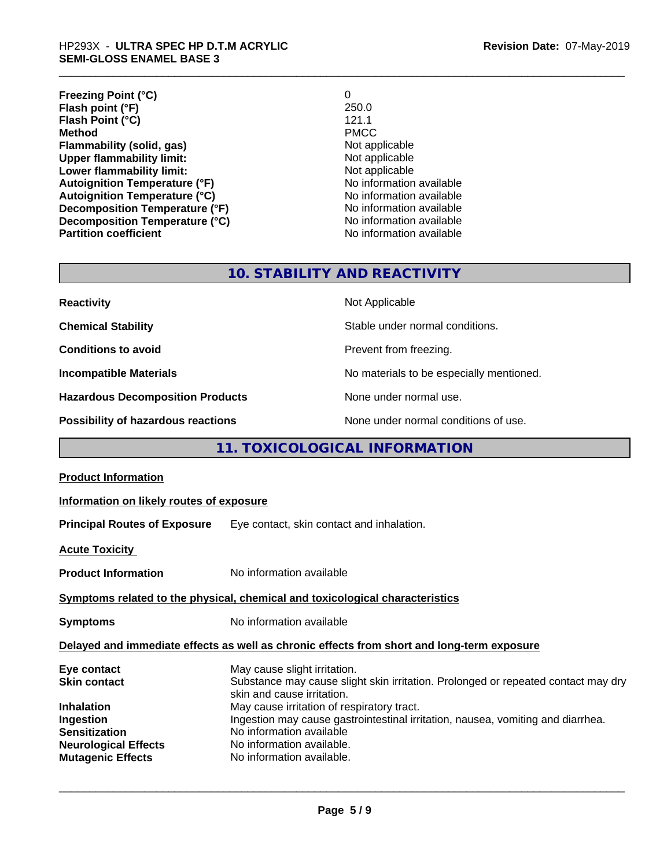# \_\_\_\_\_\_\_\_\_\_\_\_\_\_\_\_\_\_\_\_\_\_\_\_\_\_\_\_\_\_\_\_\_\_\_\_\_\_\_\_\_\_\_\_\_\_\_\_\_\_\_\_\_\_\_\_\_\_\_\_\_\_\_\_\_\_\_\_\_\_\_\_\_\_\_\_\_\_\_\_\_\_\_\_\_\_\_\_\_\_\_\_\_ HP293X - **ULTRA SPEC HP D.T.M ACRYLIC SEMI-GLOSS ENAMEL BASE 3**

| <b>Freezing Point (°C)</b>           | 0                        |
|--------------------------------------|--------------------------|
| Flash point (°F)                     | 250.0                    |
| Flash Point (°C)                     | 121.1                    |
| <b>Method</b>                        | <b>PMCC</b>              |
| Flammability (solid, gas)            | Not applicable           |
| <b>Upper flammability limit:</b>     | Not applicable           |
| Lower flammability limit:            | Not applicable           |
| <b>Autoignition Temperature (°F)</b> | No information available |
| <b>Autoignition Temperature (°C)</b> | No information available |
| Decomposition Temperature (°F)       | No information available |
| Decomposition Temperature (°C)       | No information available |
| <b>Partition coefficient</b>         | No information available |

# **10. STABILITY AND REACTIVITY**

| <b>Reactivity</b>                         | Not Applicable                           |
|-------------------------------------------|------------------------------------------|
| <b>Chemical Stability</b>                 | Stable under normal conditions.          |
| <b>Conditions to avoid</b>                | Prevent from freezing.                   |
| <b>Incompatible Materials</b>             | No materials to be especially mentioned. |
| <b>Hazardous Decomposition Products</b>   | None under normal use.                   |
| <b>Possibility of hazardous reactions</b> | None under normal conditions of use.     |

# **11. TOXICOLOGICAL INFORMATION**

| <b>Product Information</b>                                                                                                                              |                                                                                                                                                                                                                                                                                                                                                                        |  |
|---------------------------------------------------------------------------------------------------------------------------------------------------------|------------------------------------------------------------------------------------------------------------------------------------------------------------------------------------------------------------------------------------------------------------------------------------------------------------------------------------------------------------------------|--|
| Information on likely routes of exposure                                                                                                                |                                                                                                                                                                                                                                                                                                                                                                        |  |
| <b>Principal Routes of Exposure</b>                                                                                                                     | Eye contact, skin contact and inhalation.                                                                                                                                                                                                                                                                                                                              |  |
| <b>Acute Toxicity</b>                                                                                                                                   |                                                                                                                                                                                                                                                                                                                                                                        |  |
| <b>Product Information</b>                                                                                                                              | No information available                                                                                                                                                                                                                                                                                                                                               |  |
| Symptoms related to the physical, chemical and toxicological characteristics                                                                            |                                                                                                                                                                                                                                                                                                                                                                        |  |
| <b>Symptoms</b>                                                                                                                                         | No information available                                                                                                                                                                                                                                                                                                                                               |  |
| Delayed and immediate effects as well as chronic effects from short and long-term exposure                                                              |                                                                                                                                                                                                                                                                                                                                                                        |  |
| Eye contact<br><b>Skin contact</b><br><b>Inhalation</b><br>Ingestion<br><b>Sensitization</b><br><b>Neurological Effects</b><br><b>Mutagenic Effects</b> | May cause slight irritation.<br>Substance may cause slight skin irritation. Prolonged or repeated contact may dry<br>skin and cause irritation.<br>May cause irritation of respiratory tract.<br>Ingestion may cause gastrointestinal irritation, nausea, vomiting and diarrhea.<br>No information available<br>No information available.<br>No information available. |  |
|                                                                                                                                                         |                                                                                                                                                                                                                                                                                                                                                                        |  |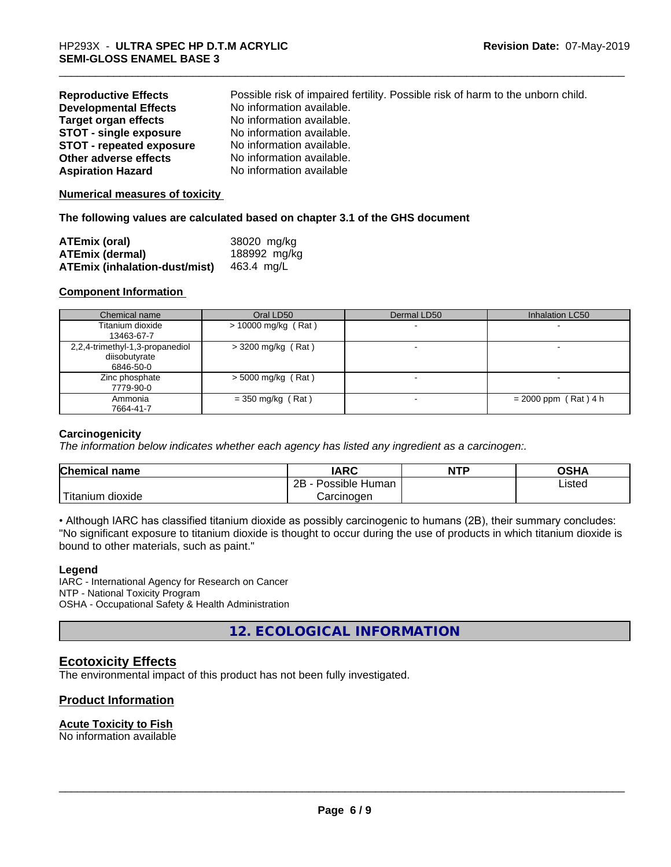| <b>Reproductive Effects</b>     | Possible risk of impaired fertility. Possible risk of harm to the unborn child. |
|---------------------------------|---------------------------------------------------------------------------------|
| <b>Developmental Effects</b>    | No information available.                                                       |
| Target organ effects            | No information available.                                                       |
| <b>STOT - single exposure</b>   | No information available.                                                       |
| <b>STOT - repeated exposure</b> | No information available.                                                       |
| Other adverse effects           | No information available.                                                       |
| <b>Aspiration Hazard</b>        | No information available                                                        |

#### **Numerical measures of toxicity**

#### **The following values are calculated based on chapter 3.1 of the GHS document**

| ATEmix (oral)                        | 38020 mg/kg  |
|--------------------------------------|--------------|
| <b>ATEmix (dermal)</b>               | 188992 mg/kg |
| <b>ATEmix (inhalation-dust/mist)</b> | 463.4 ma/L   |

#### **Component Information**

| Chemical name                   | Oral LD50             | Dermal LD50 | Inhalation LC50        |
|---------------------------------|-----------------------|-------------|------------------------|
| Titanium dioxide                | $> 10000$ mg/kg (Rat) |             |                        |
| 13463-67-7                      |                       |             |                        |
| 2,2,4-trimethyl-1,3-propanediol | $>$ 3200 mg/kg (Rat)  |             |                        |
| diisobutyrate                   |                       |             |                        |
| 6846-50-0                       |                       |             |                        |
| Zinc phosphate                  | $>$ 5000 mg/kg (Rat)  |             |                        |
| 7779-90-0                       |                       |             |                        |
| Ammonia                         | $=$ 350 mg/kg (Rat)   |             | $= 2000$ ppm (Rat) 4 h |
| 7664-41-7                       |                       |             |                        |

#### **Carcinogenicity**

*The information below indicateswhether each agency has listed any ingredient as a carcinogen:.*

| <b>Chemical</b><br>∣ name                                                                                                                       | <b>IARC</b>                  | <b>NTP</b> | <b>OSHA</b> |
|-------------------------------------------------------------------------------------------------------------------------------------------------|------------------------------|------------|-------------|
|                                                                                                                                                 | .<br>2B<br>Possible<br>Human |            | Listed      |
| <b>The Contract of the Contract of the Contract of the Contract of the Contract of the Contract of the Contract o</b><br>n dioxide<br>l itanıum | Carcinogen                   |            |             |

• Although IARC has classified titanium dioxide as possibly carcinogenic to humans (2B), their summary concludes: "No significant exposure to titanium dioxide is thought to occur during the use of products in which titanium dioxide is bound to other materials, such as paint."

#### **Legend**

IARC - International Agency for Research on Cancer NTP - National Toxicity Program OSHA - Occupational Safety & Health Administration

**12. ECOLOGICAL INFORMATION**

# **Ecotoxicity Effects**

The environmental impact of this product has not been fully investigated.

# **Product Information**

#### **Acute Toxicity to Fish**

No information available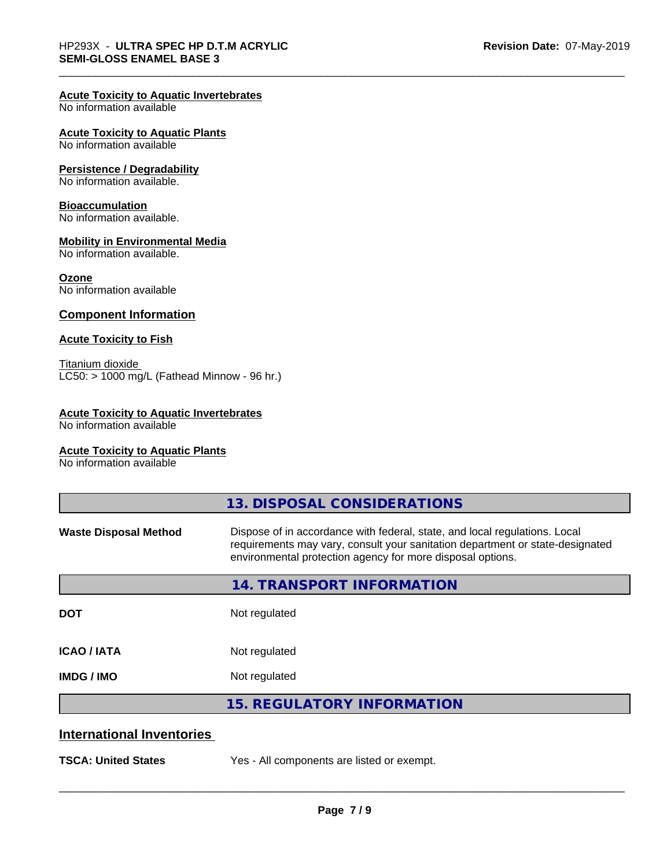#### **Acute Toxicity to Aquatic Invertebrates**

No information available

#### **Acute Toxicity to Aquatic Plants**

No information available

#### **Persistence / Degradability**

No information available.

#### **Bioaccumulation**

No information available.

#### **Mobility in Environmental Media**

No information available.

#### **Ozone**

No information available

#### **Component Information**

#### **Acute Toxicity to Fish**

Titanium dioxide  $\overline{\text{LC50:}}$  > 1000 mg/L (Fathead Minnow - 96 hr.)

#### **Acute Toxicity to Aquatic Invertebrates**

No information available

#### **Acute Toxicity to Aquatic Plants**

No information available

|                                  | 13. DISPOSAL CONSIDERATIONS                                                                                                                                                                                               |
|----------------------------------|---------------------------------------------------------------------------------------------------------------------------------------------------------------------------------------------------------------------------|
| <b>Waste Disposal Method</b>     | Dispose of in accordance with federal, state, and local regulations. Local<br>requirements may vary, consult your sanitation department or state-designated<br>environmental protection agency for more disposal options. |
|                                  | <b>14. TRANSPORT INFORMATION</b>                                                                                                                                                                                          |
| <b>DOT</b>                       | Not regulated                                                                                                                                                                                                             |
| <b>ICAO/IATA</b>                 | Not regulated                                                                                                                                                                                                             |
| <b>IMDG/IMO</b>                  | Not regulated                                                                                                                                                                                                             |
|                                  | <b>15. REGULATORY INFORMATION</b>                                                                                                                                                                                         |
| <b>International Inventories</b> |                                                                                                                                                                                                                           |
| <b>TSCA: United States</b>       | Yes - All components are listed or exempt.                                                                                                                                                                                |
|                                  |                                                                                                                                                                                                                           |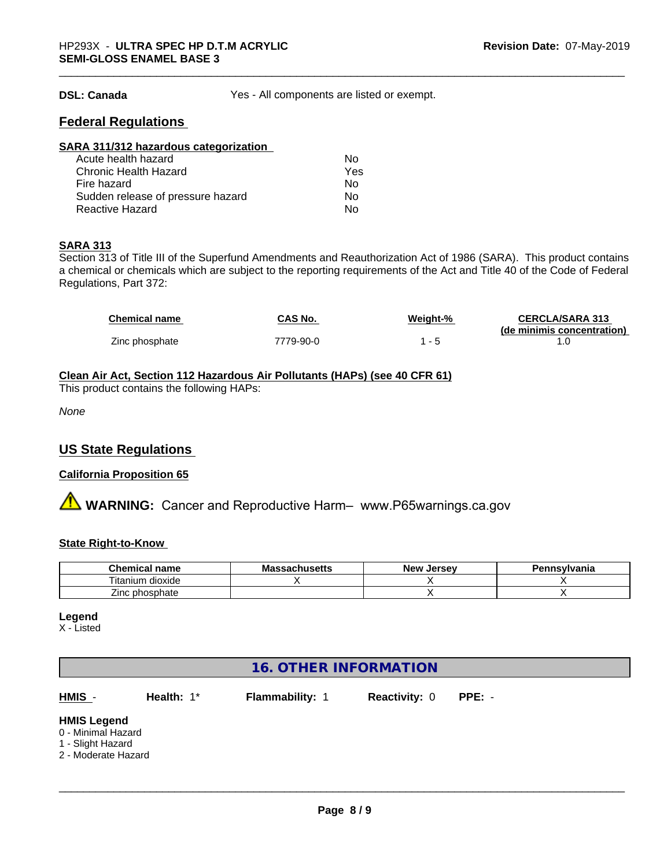**DSL: Canada** Yes - All components are listed or exempt.

# **Federal Regulations**

| SARA 311/312 hazardous categorization |     |  |
|---------------------------------------|-----|--|
| Acute health hazard                   | Nο  |  |
| <b>Chronic Health Hazard</b>          | Yes |  |
| Fire hazard                           | Nο  |  |
| Sudden release of pressure hazard     | Nο  |  |
| <b>Reactive Hazard</b>                | No  |  |

#### **SARA 313**

Section 313 of Title III of the Superfund Amendments and Reauthorization Act of 1986 (SARA). This product contains a chemical or chemicals which are subject to the reporting requirements of the Act and Title 40 of the Code of Federal Regulations, Part 372:

| <b>Chemical name</b> | CAS No.   | Weight-% | <b>CERCLA/SARA 313</b>     |
|----------------------|-----------|----------|----------------------------|
|                      |           |          | (de minimis concentration) |
| Zinc phosphate       | 7779-90-0 |          |                            |

### **Clean Air Act,Section 112 Hazardous Air Pollutants (HAPs) (see 40 CFR 61)**

This product contains the following HAPs:

*None*

# **US State Regulations**

#### **California Proposition 65**

**A** WARNING: Cancer and Reproductive Harm– www.P65warnings.ca.gov

#### **State Right-to-Know**

| Chemical<br>`name    | . .<br>Mass<br>achueatta<br>⊶aChus∈us | <b>Jersev</b><br><b>Nev</b> | Pennsylvania |
|----------------------|---------------------------------------|-----------------------------|--------------|
| l itanium<br>dioxide |                                       |                             |              |
| --<br>Zinc phosphate |                                       |                             |              |

#### **Legend**

X - Listed

# **16. OTHER INFORMATION**

**HMIS** - **Health:** 1\* **Flammability:** 1 **Reactivity:** 0 **PPE:** -

 $\overline{\phantom{a}}$  ,  $\overline{\phantom{a}}$  ,  $\overline{\phantom{a}}$  ,  $\overline{\phantom{a}}$  ,  $\overline{\phantom{a}}$  ,  $\overline{\phantom{a}}$  ,  $\overline{\phantom{a}}$  ,  $\overline{\phantom{a}}$  ,  $\overline{\phantom{a}}$  ,  $\overline{\phantom{a}}$  ,  $\overline{\phantom{a}}$  ,  $\overline{\phantom{a}}$  ,  $\overline{\phantom{a}}$  ,  $\overline{\phantom{a}}$  ,  $\overline{\phantom{a}}$  ,  $\overline{\phantom{a}}$ 

# **HMIS Legend**

- 0 Minimal Hazard
- 1 Slight Hazard
- 2 Moderate Hazard